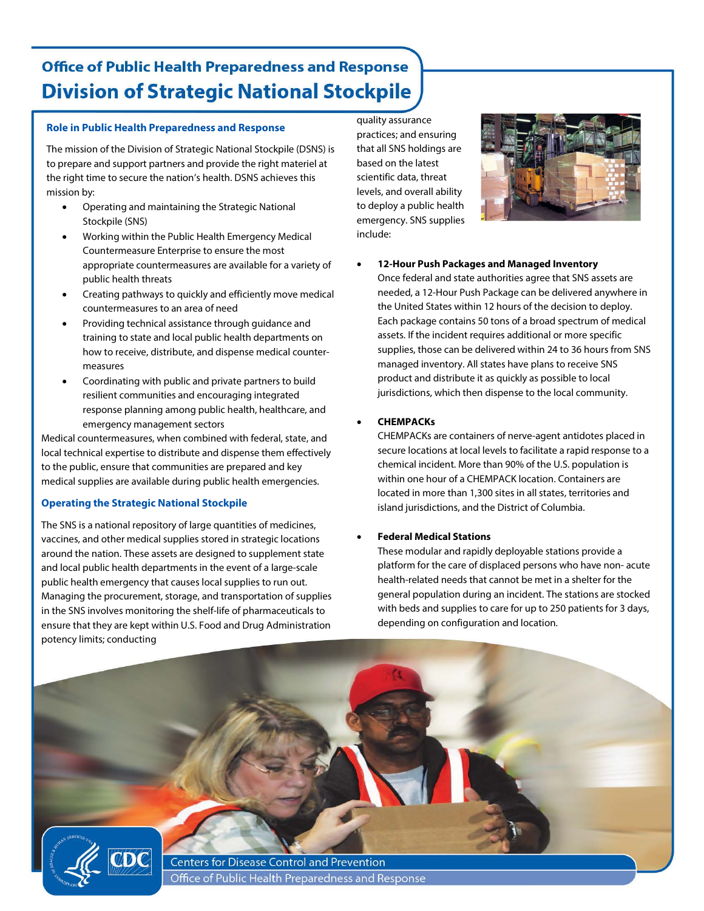# **Office of Public Health Preparedness and Response Division of Strategic National Stockpile**

#### **Role in Public Health Preparedness and Response**

The mission of the Division of Strategic National Stockpile (DSNS) is to prepare and support partners and provide the right materiel at the right time to secure the nation's health. DSNS achieves this mission by:

- Operating and maintaining the Strategic National Stockpile (SNS)
- Working within the Public Health Emergency Medical Countermeasure Enterprise to ensure the most appropriate countermeasures are available for a variety of public health threats
- Creating pathways to quickly and efficiently move medical countermeasures to an area of need
- Providing technical assistance through guidance and training to state and local public health departments on how to receive, distribute, and dispense medical countermeasures
- Coordinating with public and private partners to build resilient communities and encouraging integrated response planning among public health, healthcare, and emergency management sectors

Medical countermeasures, when combined with federal, state, and local technical expertise to distribute and dispense them effectively to the public, ensure that communities are prepared and key medical supplies are available during public health emergencies.

#### **Operating the Strategic National Stockpile**

The SNS is a national repository of large quantities of medicines, vaccines, and other medical supplies stored in strategic locations around the nation. These assets are designed to supplement state and local public health departments in the event of a large-scale public health emergency that causes local supplies to run out. Managing the procurement, storage, and transportation of supplies in the SNS involves monitoring the shelf-life of pharmaceuticals to ensure that they are kept within U.S. Food and Drug Administration potency limits; conducting

quality assurance practices; and ensuring that all SNS holdings are based on the latest scientific data, threat levels, and overall ability to deploy a public health emergency. SNS supplies include:



• **12-Hour Push Packages and Managed Inventory**

Once federal and state authorities agree that SNS assets are needed, a 12-Hour Push Package can be delivered anywhere in the United States within 12 hours of the decision to deploy. Each package contains 50 tons of a broad spectrum of medical assets. If the incident requires additional or more specific supplies, those can be delivered within 24 to 36 hours from SNS managed inventory. All states have plans to receive SNS product and distribute it as quickly as possible to local jurisdictions, which then dispense to the local community.

#### • **CHEMPACKs**

CHEMPACKs are containers of nerve-agent antidotes placed in secure locations at local levels to facilitate a rapid response to a chemical incident. More than 90% of the U.S. population is within one hour of a CHEMPACK location. Containers are located in more than 1,300 sites in all states, territories and island jurisdictions, and the District of Columbia.

#### • **Federal Medical Stations**

These modular and rapidly deployable stations provide a platform for the care of displaced persons who have non- acute health-related needs that cannot be met in a shelter for the general population during an incident. The stations are stocked with beds and supplies to care for up to 250 patients for 3 days, depending on configuration and location.



**Centers for Disease Control and Prevention** Office of Public Health Preparedness and Response